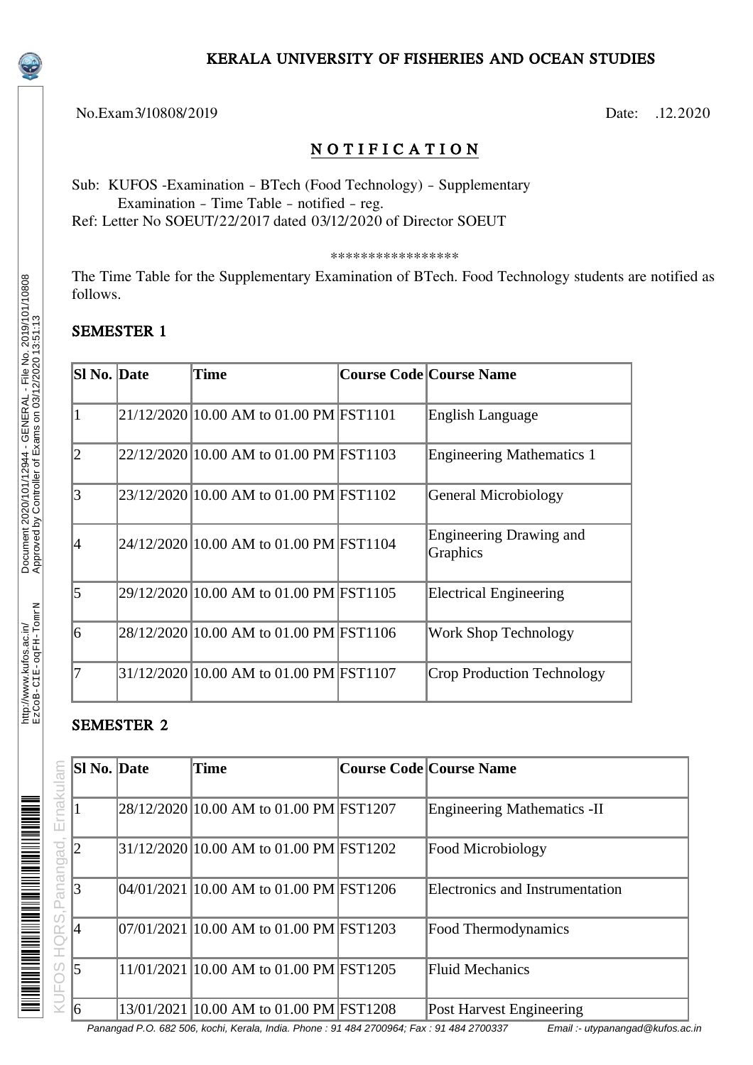### KERALA UNIVERSITY OF FISHERIES AND OCEAN STUDIES

No.Exam3/10808/2019 Date: .12.2020

# N O T I F I C A T I O N

Sub: KUFOS -Examination – BTech (Food Technology) – Supplementary Examination – Time Table – notified – reg.

Ref: Letter No SOEUT/22/2017 dated 03/12/2020 of Director SOEUT

\*\*\*\*\*\*\*\*\*\*\*\*\*\*\*\*\*

The Time Table for the Supplementary Examination of BTech. Food Technology students are notified as follows.

## SEMESTER 1

| Sl No. Date    | Time                                    | <b>Course Code Course Name</b>             |
|----------------|-----------------------------------------|--------------------------------------------|
| 1              | 21/12/2020 10.00 AM to 01.00 PM FST1101 | English Language                           |
| $\overline{2}$ | 22/12/2020 10.00 AM to 01.00 PM FST1103 | <b>Engineering Mathematics 1</b>           |
| 3              | 23/12/2020 10.00 AM to 01.00 PM FST1102 | <b>General Microbiology</b>                |
| 4              | 24/12/2020 10.00 AM to 01.00 PM FST1104 | <b>Engineering Drawing and</b><br>Graphics |
| 5              | 29/12/2020 10.00 AM to 01.00 PM FST1105 | <b>Electrical Engineering</b>              |
| 6              | 28/12/2020 10.00 AM to 01.00 PM FST1106 | <b>Work Shop Technology</b>                |
| 7              | 31/12/2020 10.00 AM to 01.00 PM FST1107 | Crop Production Technology                 |

### SEMESTER 2

|             | <b>SI No. Date</b> | Time                                    | Course Code Course Name            |
|-------------|--------------------|-----------------------------------------|------------------------------------|
|             |                    |                                         |                                    |
| Ernakularr  |                    | 28/12/2020 10.00 AM to 01.00 PM FST1207 | <b>Engineering Mathematics -II</b> |
| Panangad    |                    | 31/12/2020 10.00 AM to 01.00 PM FST1202 | <b>Food Microbiology</b>           |
|             | 13                 | 04/01/2021 10.00 AM to 01.00 PM FST1206 | Electronics and Instrumentation    |
| IQRS,I<br>İ | 14                 | 07/01/2021 10.00 AM to 01.00 PM FST1203 | <b>Food Thermodynamics</b>         |
| SO          | $\sqrt{5}$         | 11/01/2021 10.00 AM to 01.00 PM FST1205 | Fluid Mechanics                    |
|             | 16                 | 13/01/2021 10.00 AM to 01.00 PM FST1208 | Post Harvest Engineering           |

Panangad P.O. 682 506, kochi, Kerala, India. Phone : 91 484 2700964; Fax : 91 484 2700337 Email :- utypanangad@kufos.ac.in

Document 2020/101/12944 - GENERAL - File No. 2019/101/10808<br>Approved by Controller of Exams on 03/12/2020 13:51:13 Document 2020/101/12944 - GENERAL - File No. 2019/101/10808 EzCoB-CIE-oqFH-TomrN Approved by Controller of Exams on 03/12/2020 13:51:13

http://www.kufos.ac.in/<br>EzCoB-CIE-oqFH-TomrN http://www.kufos.ac.in/